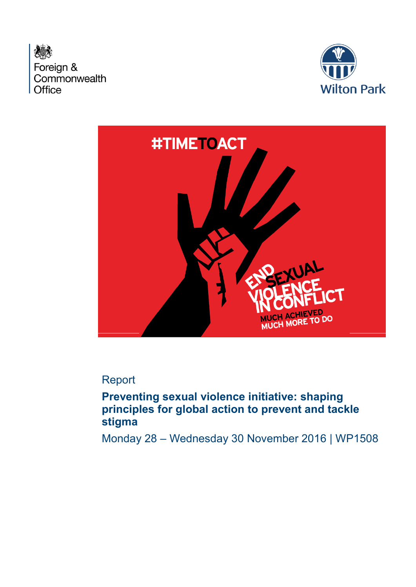





# Report

# **Preventing sexual violence initiative: shaping principles for global action to prevent and tackle stigma**

Monday 28 – Wednesday 30 November 2016 | WP1508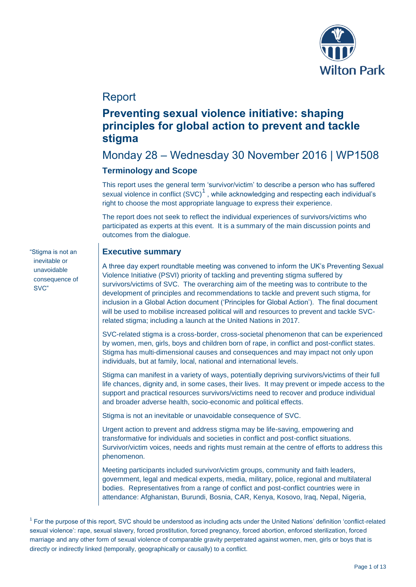

# Report

# **Preventing sexual violence initiative: shaping principles for global action to prevent and tackle stigma**

# Monday 28 – Wednesday 30 November 2016 | WP1508

### **Terminology and Scope**

This report uses the general term 'survivor/victim' to describe a person who has suffered sexual violence in conflict  $(SVC)^1$ , while acknowledging and respecting each individual's right to choose the most appropriate language to express their experience.

The report does not seek to reflect the individual experiences of survivors/victims who participated as experts at this event. It is a summary of the main discussion points and outcomes from the dialogue.

#### **Executive summary**

A three day expert roundtable meeting was convened to inform the UK's Preventing Sexual Violence Initiative (PSVI) priority of tackling and preventing stigma suffered by survivors/victims of SVC. The overarching aim of the meeting was to contribute to the development of principles and recommendations to tackle and prevent such stigma, for inclusion in a Global Action document ('Principles for Global Action'). The final document will be used to mobilise increased political will and resources to prevent and tackle SVCrelated stigma; including a launch at the United Nations in 2017.

SVC-related stigma is a cross-border, cross-societal phenomenon that can be experienced by women, men, girls, boys and children born of rape, in conflict and post-conflict states. Stigma has multi-dimensional causes and consequences and may impact not only upon individuals, but at family, local, national and international levels.

Stigma can manifest in a variety of ways, potentially depriving survivors/victims of their full life chances, dignity and, in some cases, their lives. It may prevent or impede access to the support and practical resources survivors/victims need to recover and produce individual and broader adverse health, socio-economic and political effects.

Stigma is not an inevitable or unavoidable consequence of SVC.

Urgent action to prevent and address stigma may be life-saving, empowering and transformative for individuals and societies in conflict and post-conflict situations. Survivor/victim voices, needs and rights must remain at the centre of efforts to address this phenomenon.

Meeting participants included survivor/victim groups, community and faith leaders, government, legal and medical experts, media, military, police, regional and multilateral bodies. Representatives from a range of conflict and post-conflict countries were in attendance: Afghanistan, Burundi, Bosnia, CAR, Kenya, Kosovo, Iraq, Nepal, Nigeria,

"Stigma is not an inevitable or unavoidable consequence of SVC"

<sup>&</sup>lt;sup>1</sup> For the purpose of this report, SVC should be understood as including acts under the United Nations' definition 'conflict-related sexual violence': rape, sexual slavery, forced prostitution, forced pregnancy, forced abortion, enforced sterilization, forced marriage and any other form of sexual violence of comparable gravity perpetrated against women, men, girls or boys that is directly or indirectly linked (temporally, geographically or causally) to a conflict.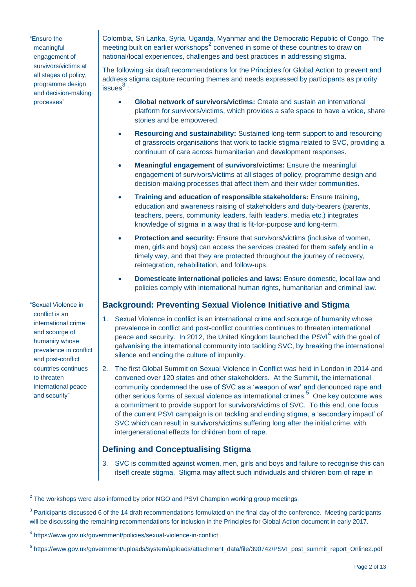"Ensure the meaningful engagement of survivors/victims at all stages of policy, programme design and decision-making processes"

Colombia, Sri Lanka, Syria, Uganda, Myanmar and the Democratic Republic of Congo. The meeting built on earlier workshops<sup>2</sup> convened in some of these countries to draw on national/local experiences, challenges and best practices in addressing stigma.

The following six draft recommendations for the Principles for Global Action to prevent and address stigma capture recurring themes and needs expressed by participants as priority issues $^3$  :

- **Global network of survivors/victims:** Create and sustain an international platform for survivors/victims, which provides a safe space to have a voice, share stories and be empowered.
- **Resourcing and sustainability:** Sustained long-term support to and resourcing of grassroots organisations that work to tackle stigma related to SVC, providing a continuum of care across humanitarian and development responses.
- **Meaningful engagement of survivors/victims:** Ensure the meaningful engagement of survivors/victims at all stages of policy, programme design and decision-making processes that affect them and their wider communities.
- **Training and education of responsible stakeholders:** Ensure training, education and awareness raising of stakeholders and duty-bearers (parents, teachers, peers, community leaders, faith leaders, media etc.) integrates knowledge of stigma in a way that is fit-for-purpose and long-term.
- **Protection and security:** Ensure that survivors/victims (inclusive of women, men, girls and boys) can access the services created for them safely and in a timely way, and that they are protected throughout the journey of recovery, reintegration, rehabilitation, and follow-ups.
- **Domesticate international policies and laws:** Ensure domestic, local law and policies comply with international human rights, humanitarian and criminal law.

#### **Background: Preventing Sexual Violence Initiative and Stigma**

- 1. Sexual Violence in conflict is an international crime and scourge of humanity whose prevalence in conflict and post-conflict countries continues to threaten international .<br>peace and security. In 2012, the United Kingdom launched the PSVI<sup>4</sup> with the goal of galvanising the international community into tackling SVC, by breaking the international silence and ending the culture of impunity.
- 2. The first Global Summit on Sexual Violence in Conflict was held in London in 2014 and convened over 120 states and other stakeholders. At the Summit, the international community condemned the use of SVC as a 'weapon of war' and denounced rape and other serious forms of sexual violence as international crimes.<sup>5</sup> One key outcome was a commitment to provide support for survivors/victims of SVC. To this end, one focus of the current PSVI campaign is on tackling and ending stigma, a 'secondary impact' of SVC which can result in survivors/victims suffering long after the initial crime, with intergenerational effects for children born of rape.

## **Defining and Conceptualising Stigma**

3. SVC is committed against women, men, girls and boys and failure to recognise this can itself create stigma. Stigma may affect such individuals and children born of rape in

 $2$  The workshops were also informed by prior NGO and PSVI Champion working group meetings.

 $3$  Participants discussed 6 of the 14 draft recommendations formulated on the final day of the conference. Meeting participants will be discussing the remaining recommendations for inclusion in the Principles for Global Action document in early 2017.

4 https://www.gov.uk/government/policies/sexual-violence-in-conflict

"Sexual Violence in conflict is an international crime and scourge of humanity whose prevalence in conflict and post-conflict countries continues to threaten international peace and security"

<sup>5</sup> https://www.gov.uk/government/uploads/system/uploads/attachment\_data/file/390742/PSVI\_post\_summit\_report\_Online2.pdf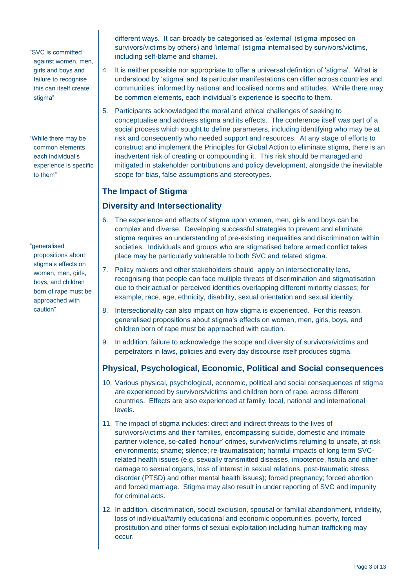"SVC is committed against women, men, girls and boys and failure to recognise this can itself create stigma"

"While there may be common elements, each individual's experience is specific to them"

"generalised propositions about stigma's effects on women, men, girls, boys, and children born of rape must be approached with caution"

different ways. It can broadly be categorised as 'external' (stigma imposed on survivors/victims by others) and 'internal' (stigma internalised by survivors/victims, including self-blame and shame).

- 4. It is neither possible nor appropriate to offer a universal definition of 'stigma'. What is understood by 'stigma' and its particular manifestations can differ across countries and communities, informed by national and localised norms and attitudes. While there may be common elements, each individual's experience is specific to them.
- 5. Participants acknowledged the moral and ethical challenges of seeking to conceptualise and address stigma and its effects. The conference itself was part of a social process which sought to define parameters, including identifying who may be at risk and consequently who needed support and resources. At any stage of efforts to construct and implement the Principles for Global Action to eliminate stigma, there is an inadvertent risk of creating or compounding it. This risk should be managed and mitigated in stakeholder contributions and policy development, alongside the inevitable scope for bias, false assumptions and stereotypes.

## **The Impact of Stigma**

## **Diversity and Intersectionality**

- 6. The experience and effects of stigma upon women, men, girls and boys can be complex and diverse. Developing successful strategies to prevent and eliminate stigma requires an understanding of pre-existing inequalities and discrimination within societies. Individuals and groups who are stigmatised before armed conflict takes place may be particularly vulnerable to both SVC and related stigma.
- 7. Policy makers and other stakeholders should apply an intersectionality lens, recognising that people can face multiple threats of discrimination and stigmatisation due to their actual or perceived identities overlapping different minority classes; for example, race, age, ethnicity, disability, sexual orientation and sexual identity.
- 8. Intersectionality can also impact on how stigma is experienced. For this reason, generalised propositions about stigma's effects on women, men, girls, boys, and children born of rape must be approached with caution.
- 9. In addition, failure to acknowledge the scope and diversity of survivors/victims and perpetrators in laws, policies and every day discourse itself produces stigma.

## **Physical, Psychological, Economic, Political and Social consequences**

- 10. Various physical, psychological, economic, political and social consequences of stigma are experienced by survivors/victims and children born of rape, across different countries. Effects are also experienced at family, local, national and international levels.
- 11. The impact of stigma includes: direct and indirect threats to the lives of survivors/victims and their families, encompassing suicide, domestic and intimate partner violence, so-called 'honour' crimes, survivor/victims returning to unsafe, at-risk environments; shame; silence; re-traumatisation; harmful impacts of long term SVCrelated health issues (e.g. sexually transmitted diseases, impotence, fistula and other damage to sexual organs, loss of interest in sexual relations, post-traumatic stress disorder (PTSD) and other mental health issues); forced pregnancy; forced abortion and forced marriage. Stigma may also result in under reporting of SVC and impunity for criminal acts.
- 12. In addition, discrimination, social exclusion, spousal or familial abandonment, infidelity, loss of individual/family educational and economic opportunities, poverty, forced prostitution and other forms of sexual exploitation including human trafficking may occur.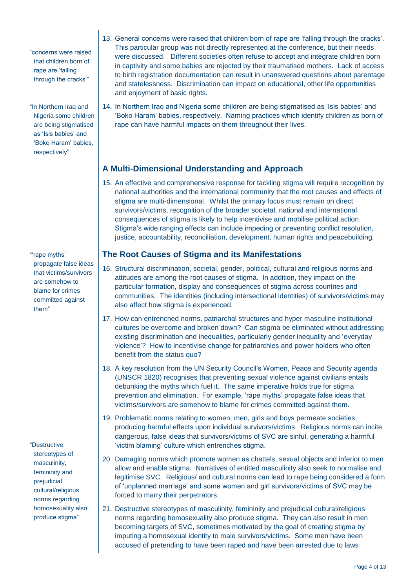"concerns were raised that children born of rape are 'falling through the cracks'"

"In Northern Iraq and Nigeria some children are being stigmatised as 'Isis babies' and 'Boko Haram' babies, respectively"

"'rape myths' propagate false ideas that victims/survivors are somehow to blame for crimes committed against them"

"Destructive stereotypes of masculinity, femininity and prejudicial cultural/religious norms regarding homosexuality also produce stigma"

- 13. General concerns were raised that children born of rape are 'falling through the cracks'. This particular group was not directly represented at the conference, but their needs were discussed. Different societies often refuse to accept and integrate children born in captivity and some babies are rejected by their traumatised mothers. Lack of access to birth registration documentation can result in unanswered questions about parentage and statelessness. Discrimination can impact on educational, other life opportunities and enjoyment of basic rights.
- 14. In Northern Iraq and Nigeria some children are being stigmatised as 'Isis babies' and 'Boko Haram' babies, respectively. Naming practices which identify children as born of rape can have harmful impacts on them throughout their lives.

## **A Multi-Dimensional Understanding and Approach**

15. An effective and comprehensive response for tackling stigma will require recognition by national authorities and the international community that the root causes and effects of stigma are multi-dimensional. Whilst the primary focus must remain on direct survivors/victims, recognition of the broader societal, national and international consequences of stigma is likely to help incentivise and mobilise political action. Stigma's wide ranging effects can include impeding or preventing conflict resolution, justice, accountability, reconciliation, development, human rights and peacebuilding.

## **The Root Causes of Stigma and its Manifestations**

- 16. Structural discrimination, societal, gender, political, cultural and religious norms and attitudes are among the root causes of stigma. In addition, they impact on the particular formation, display and consequences of stigma across countries and communities. The identities (including intersectional identities) of survivors/victims may also affect how stigma is experienced.
- 17. How can entrenched norms, patriarchal structures and hyper masculine institutional cultures be overcome and broken down? Can stigma be eliminated without addressing existing discrimination and inequalities, particularly gender inequality and 'everyday violence'? How to incentivise change for patriarchies and power holders who often benefit from the status quo?
- 18. A key resolution from the UN Security Council's Women, Peace and Security agenda (UNSCR 1820) recognises that preventing sexual violence against civilians entails debunking the myths which fuel it. The same imperative holds true for stigma prevention and elimination. For example, 'rape myths' propagate false ideas that victims/survivors are somehow to blame for crimes committed against them.
- 19. Problematic norms relating to women, men, girls and boys permeate societies, producing harmful effects upon individual survivors/victims. Religious norms can incite dangerous, false ideas that survivors/victims of SVC are sinful, generating a harmful 'victim blaming' culture which entrenches stigma.
- 20. Damaging norms which promote women as chattels, sexual objects and inferior to men allow and enable stigma. Narratives of entitled masculinity also seek to normalise and legitimise SVC. Religious/ and cultural norms can lead to rape being considered a form of 'unplanned marriage' and some women and girl survivors/victims of SVC may be forced to marry their perpetrators.
- 21. Destructive stereotypes of masculinity, femininity and prejudicial cultural/religious norms regarding homosexuality also produce stigma. They can also result in men becoming targets of SVC, sometimes motivated by the goal of creating stigma by imputing a homosexual identity to male survivors/victims. Some men have been accused of pretending to have been raped and have been arrested due to laws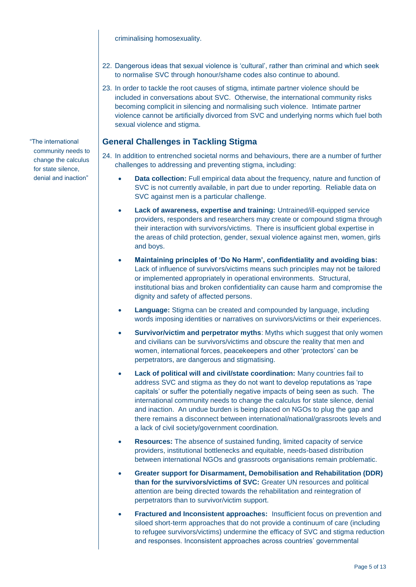criminalising homosexuality.

- 22. Dangerous ideas that sexual violence is 'cultural', rather than criminal and which seek to normalise SVC through honour/shame codes also continue to abound.
- 23. In order to tackle the root causes of stigma, intimate partner violence should be included in conversations about SVC. Otherwise, the international community risks becoming complicit in silencing and normalising such violence. Intimate partner violence cannot be artificially divorced from SVC and underlying norms which fuel both sexual violence and stigma.

#### **General Challenges in Tackling Stigma**

- 24. In addition to entrenched societal norms and behaviours, there are a number of further challenges to addressing and preventing stigma, including:
	- **Data collection:** Full empirical data about the frequency, nature and function of SVC is not currently available, in part due to under reporting. Reliable data on SVC against men is a particular challenge.
	- **Lack of awareness, expertise and training:** Untrained/ill-equipped service providers, responders and researchers may create or compound stigma through their interaction with survivors/victims. There is insufficient global expertise in the areas of child protection, gender, sexual violence against men, women, girls and boys.
	- **Maintaining principles of 'Do No Harm', confidentiality and avoiding bias:** Lack of influence of survivors/victims means such principles may not be tailored or implemented appropriately in operational environments. Structural, institutional bias and broken confidentiality can cause harm and compromise the dignity and safety of affected persons.
	- **Language:** Stigma can be created and compounded by language, including words imposing identities or narratives on survivors/victims or their experiences.
	- **Survivor/victim and perpetrator myths**: Myths which suggest that only women and civilians can be survivors/victims and obscure the reality that men and women, international forces, peacekeepers and other 'protectors' can be perpetrators, are dangerous and stigmatising.
	- **Lack of political will and civil/state coordination:** Many countries fail to address SVC and stigma as they do not want to develop reputations as 'rape capitals' or suffer the potentially negative impacts of being seen as such. The international community needs to change the calculus for state silence, denial and inaction. An undue burden is being placed on NGOs to plug the gap and there remains a disconnect between international/national/grassroots levels and a lack of civil society/government coordination.
	- **Resources:** The absence of sustained funding, limited capacity of service providers, institutional bottlenecks and equitable, needs-based distribution between international NGOs and grassroots organisations remain problematic.
	- **Greater support for Disarmament, Demobilisation and Rehabilitation (DDR) than for the survivors/victims of SVC:** Greater UN resources and political attention are being directed towards the rehabilitation and reintegration of perpetrators than to survivor/victim support.
	- **Fractured and Inconsistent approaches:** Insufficient focus on prevention and siloed short-term approaches that do not provide a continuum of care (including to refugee survivors/victims) undermine the efficacy of SVC and stigma reduction and responses. Inconsistent approaches across countries' governmental

"The international community needs to change the calculus for state silence, denial and inaction"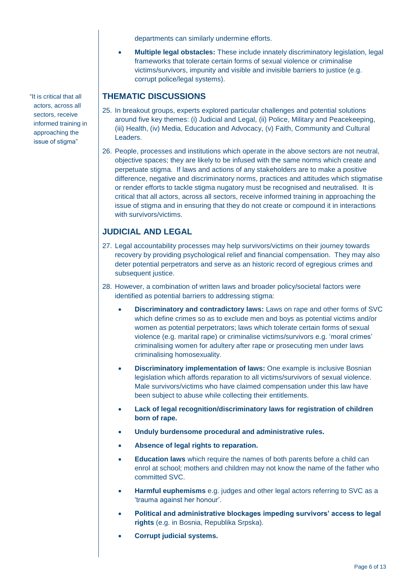departments can similarly undermine efforts.

 **Multiple legal obstacles:** These include innately discriminatory legislation, legal frameworks that tolerate certain forms of sexual violence or criminalise victims/survivors, impunity and visible and invisible barriers to justice (e.g. corrupt police/legal systems).

#### **THEMATIC DISCUSSIONS**

- 25. In breakout groups, experts explored particular challenges and potential solutions around five key themes: (i) Judicial and Legal, (ii) Police, Military and Peacekeeping, (iii) Health, (iv) Media, Education and Advocacy, (v) Faith, Community and Cultural Leaders.
- 26. People, processes and institutions which operate in the above sectors are not neutral, objective spaces; they are likely to be infused with the same norms which create and perpetuate stigma. If laws and actions of any stakeholders are to make a positive difference, negative and discriminatory norms, practices and attitudes which stigmatise or render efforts to tackle stigma nugatory must be recognised and neutralised. It is critical that all actors, across all sectors, receive informed training in approaching the issue of stigma and in ensuring that they do not create or compound it in interactions with survivors/victims.

### **JUDICIAL AND LEGAL**

- 27. Legal accountability processes may help survivors/victims on their journey towards recovery by providing psychological relief and financial compensation. They may also deter potential perpetrators and serve as an historic record of egregious crimes and subsequent justice.
- 28. However, a combination of written laws and broader policy/societal factors were identified as potential barriers to addressing stigma:
	- **Discriminatory and contradictory laws:** Laws on rape and other forms of SVC which define crimes so as to exclude men and boys as potential victims and/or women as potential perpetrators; laws which tolerate certain forms of sexual violence (e.g. marital rape) or criminalise victims/survivors e.g. 'moral crimes' criminalising women for adultery after rape or prosecuting men under laws criminalising homosexuality.
	- **Discriminatory implementation of laws:** One example is inclusive Bosnian legislation which affords reparation to all victims/survivors of sexual violence. Male survivors/victims who have claimed compensation under this law have been subject to abuse while collecting their entitlements.
	- **Lack of legal recognition/discriminatory laws for registration of children born of rape.**
	- **Unduly burdensome procedural and administrative rules.**
	- **Absence of legal rights to reparation.**
	- **Education laws** which require the names of both parents before a child can enrol at school; mothers and children may not know the name of the father who committed SVC.
	- **Harmful euphemisms** e.g. judges and other legal actors referring to SVC as a 'trauma against her honour'.
	- **Political and administrative blockages impeding survivors' access to legal rights** (e.g. in Bosnia, Republika Srpska).
	- **Corrupt judicial systems.**

"It is critical that all actors, across all sectors, receive informed training in approaching the issue of stigma"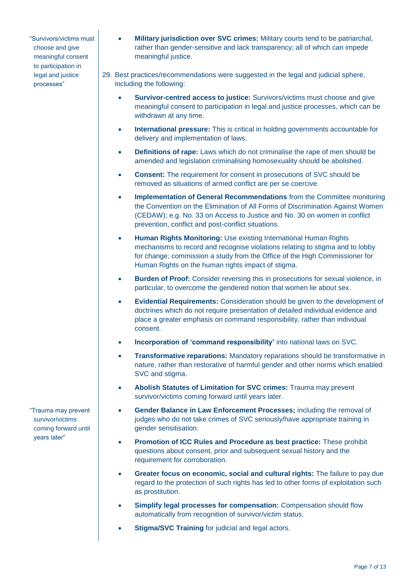"Survivors/victims must choose and give meaningful consent to participation in legal and justice processes"

- **Military jurisdiction over SVC crimes:** Military courts tend to be patriarchal, rather than gender-sensitive and lack transparency; all of which can impede meaningful justice.
- 29. Best practices/recommendations were suggested in the legal and judicial sphere, including the following:
	- **Survivor-centred access to justice:** Survivors/victims must choose and give meaningful consent to participation in legal and justice processes, which can be withdrawn at any time.
	- **International pressure:** This is critical in holding governments accountable for delivery and implementation of laws.
	- **Definitions of rape:** Laws which do not criminalise the rape of men should be amended and legislation criminalising homosexuality should be abolished.
	- **Consent:** The requirement for consent in prosecutions of SVC should be removed as situations of armed conflict are per se coercive.
	- **Implementation of General Recommendations** from the Committee monitoring the Convention on the Elimination of All Forms of Discrimination Against Women (CEDAW); e.g. No. 33 on Access to Justice and No. 30 on women in conflict prevention, conflict and post-conflict situations.
	- **Human Rights Monitoring:** Use existing International Human Rights mechanisms to record and recognise violations relating to stigma and to lobby for change; commission a study from the Office of the High Commissioner for Human Rights on the human rights impact of stigma.
	- **Burden of Proof:** Consider reversing this in prosecutions for sexual violence, in particular, to overcome the gendered notion that women lie about sex.
	- **Evidential Requirements:** Consideration should be given to the development of doctrines which do not require presentation of detailed individual evidence and place a greater emphasis on command responsibility, rather than individual consent.
	- **Incorporation of 'command responsibility'** into national laws on SVC.
	- **Transformative reparations:** Mandatory reparations should be transformative in nature, rather than restorative of harmful gender and other norms which enabled SVC and stigma.
	- **Abolish Statutes of Limitation for SVC crimes:** Trauma may prevent survivor/victims coming forward until years later.
	- **Gender Balance in Law Enforcement Processes;** including the removal of judges who do not take crimes of SVC seriously/have appropriate training in gender sensitisation.
	- **Promotion of ICC Rules and Procedure as best practice:** These prohibit questions about consent, prior and subsequent sexual history and the requirement for corroboration.
	- **Greater focus on economic, social and cultural rights:** The failure to pay due regard to the protection of such rights has led to other forms of exploitation such as prostitution.
	- **Simplify legal processes for compensation:** Compensation should flow automatically from recognition of survivor/victim status.
	- **Stigma/SVC Training** for judicial and legal actors.

"Trauma may prevent survivor/victims coming forward until years later"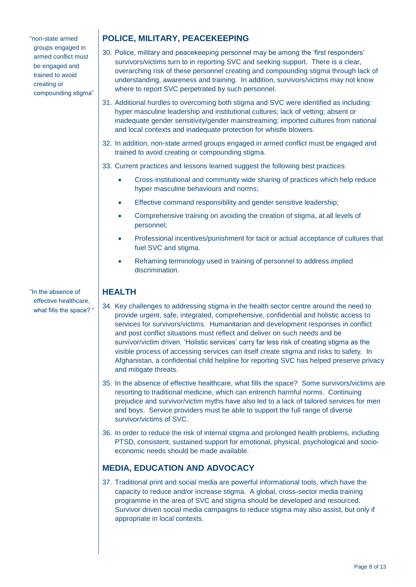"non-state armed groups engaged in armed conflict must be engaged and trained to avoid creating or compounding stigma"

### **POLICE, MILITARY, PEACEKEEPING**

- 30. Police, military and peacekeeping personnel may be among the 'first responders' survivors/victims turn to in reporting SVC and seeking support. There is a clear, overarching risk of these personnel creating and compounding stigma through lack of understanding, awareness and training. In addition, survivors/victims may not know where to report SVC perpetrated by such personnel.
- 31. Additional hurdles to overcoming both stigma and SVC were identified as including: hyper masculine leadership and institutional cultures; lack of vetting; absent or inadequate gender sensitivity/gender mainstreaming; imported cultures from national and local contexts and inadequate protection for whistle blowers.
- 32. In addition, non-state armed groups engaged in armed conflict must be engaged and trained to avoid creating or compounding stigma.
- 33. Current practices and lessons learned suggest the following best practices:
	- Cross-institutional and community wide sharing of practices which help reduce hyper masculine behaviours and norms;
	- Effective command responsibility and gender sensitive leadership;
	- Comprehensive training on avoiding the creation of stigma, at all levels of personnel;
	- Professional incentives/punishment for tacit or actual acceptance of cultures that fuel SVC and stigma.
	- Reframing terminology used in training of personnel to address implied discrimination.

## **HEALTH**

- 34. Key challenges to addressing stigma in the health sector centre around the need to provide urgent, safe, integrated, comprehensive, confidential and holistic access to services for survivors/victims. Humanitarian and development responses in conflict and post conflict situations must reflect and deliver on such needs and be survivor/victim driven. 'Holistic services' carry far less risk of creating stigma as the visible process of accessing services can itself create stigma and risks to safety. In Afghanistan, a confidential child helpline for reporting SVC has helped preserve privacy and mitigate threats.
- 35. In the absence of effective healthcare, what fills the space? Some survivors/victims are resorting to traditional medicine, which can entrench harmful norms. Continuing prejudice and survivor/victim myths have also led to a lack of tailored services for men and boys. Service providers must be able to support the full range of diverse survivor/victims of SVC.
- 36. In order to reduce the risk of internal stigma and prolonged health problems, including PTSD, consistent, sustained support for emotional, physical, psychological and socioeconomic needs should be made available.

## **MEDIA, EDUCATION AND ADVOCACY**

37. Traditional print and social media are powerful informational tools, which have the capacity to reduce and/or increase stigma. A global, cross-sector media training programme in the area of SVC and stigma should be developed and resourced. Survivor driven social media campaigns to reduce stigma may also assist, but only if appropriate in local contexts.

"In the absence of effective healthcare, what fills the space? "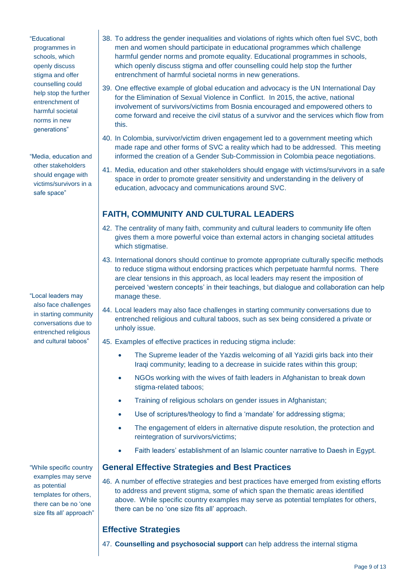"Educational programmes in schools, which openly discuss stigma and offer counselling could help stop the further entrenchment of harmful societal norms in new generations"

"Media, education and other stakeholders should engage with victims/survivors in a safe space"

"Local leaders may also face challenges in starting community conversations due to entrenched religious and cultural taboos"

"While specific country examples may serve as potential templates for others, there can be no 'one size fits all' approach"

- 38. To address the gender inequalities and violations of rights which often fuel SVC, both men and women should participate in educational programmes which challenge harmful gender norms and promote equality. Educational programmes in schools, which openly discuss stigma and offer counselling could help stop the further entrenchment of harmful societal norms in new generations.
- 39. One effective example of global education and advocacy is the UN International Day for the Elimination of Sexual Violence in Conflict. In 2015, the active, national involvement of survivors/victims from Bosnia encouraged and empowered others to come forward and receive the civil status of a survivor and the services which flow from this.
- 40. In Colombia, survivor/victim driven engagement led to a government meeting which made rape and other forms of SVC a reality which had to be addressed. This meeting informed the creation of a Gender Sub-Commission in Colombia peace negotiations.
- 41. Media, education and other stakeholders should engage with victims/survivors in a safe space in order to promote greater sensitivity and understanding in the delivery of education, advocacy and communications around SVC.

## **FAITH, COMMUNITY AND CULTURAL LEADERS**

- 42. The centrality of many faith, community and cultural leaders to community life often gives them a more powerful voice than external actors in changing societal attitudes which stigmatise.
- 43. International donors should continue to promote appropriate culturally specific methods to reduce stigma without endorsing practices which perpetuate harmful norms. There are clear tensions in this approach, as local leaders may resent the imposition of perceived 'western concepts' in their teachings, but dialogue and collaboration can help manage these.
- 44. Local leaders may also face challenges in starting community conversations due to entrenched religious and cultural taboos, such as sex being considered a private or unholy issue.

45. Examples of effective practices in reducing stigma include:

- The Supreme leader of the Yazdis welcoming of all Yazidi girls back into their Iraqi community; leading to a decrease in suicide rates within this group;
- NGOs working with the wives of faith leaders in Afghanistan to break down stigma-related taboos;
- Training of religious scholars on gender issues in Afghanistan;
- Use of scriptures/theology to find a 'mandate' for addressing stigma;
- The engagement of elders in alternative dispute resolution, the protection and reintegration of survivors/victims;
- Faith leaders' establishment of an Islamic counter narrative to Daesh in Egypt.

#### **General Effective Strategies and Best Practices**

46. A number of effective strategies and best practices have emerged from existing efforts to address and prevent stigma, some of which span the thematic areas identified above. While specific country examples may serve as potential templates for others, there can be no 'one size fits all' approach.

#### **Effective Strategies**

47. **Counselling and psychosocial support** can help address the internal stigma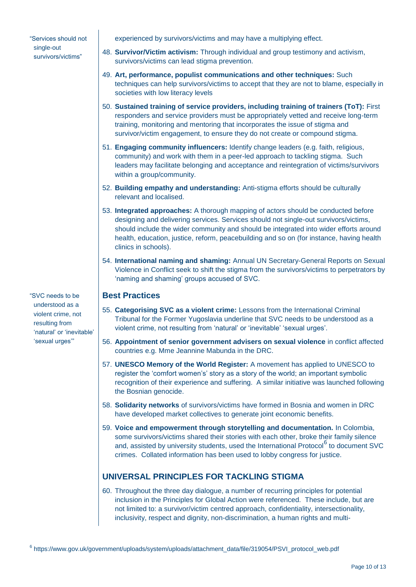"Services should not single-out survivors/victims"

experienced by survivors/victims and may have a multiplying effect.

- 48. **Survivor/Victim activism:** Through individual and group testimony and activism, survivors/victims can lead stigma prevention.
- 49. **Art, performance, populist communications and other techniques:** Such techniques can help survivors/victims to accept that they are not to blame, especially in societies with low literacy levels
- 50. **Sustained training of service providers, including training of trainers (ToT):** First responders and service providers must be appropriately vetted and receive long-term training, monitoring and mentoring that incorporates the issue of stigma and survivor/victim engagement, to ensure they do not create or compound stigma.
- 51. **Engaging community influencers:** Identify change leaders (e.g. faith, religious, community) and work with them in a peer-led approach to tackling stigma. Such leaders may facilitate belonging and acceptance and reintegration of victims/survivors within a group/community.
- 52. **Building empathy and understanding:** Anti-stigma efforts should be culturally relevant and localised.
- 53. **Integrated approaches:** A thorough mapping of actors should be conducted before designing and delivering services. Services should not single-out survivors/victims, should include the wider community and should be integrated into wider efforts around health, education, justice, reform, peacebuilding and so on (for instance, having health clinics in schools).
- 54. **International naming and shaming:** Annual UN Secretary-General Reports on Sexual Violence in Conflict seek to shift the stigma from the survivors/victims to perpetrators by 'naming and shaming' groups accused of SVC.

#### **Best Practices**

- 55. **Categorising SVC as a violent crime:** Lessons from the International Criminal Tribunal for the Former Yugoslavia underline that SVC needs to be understood as a violent crime, not resulting from 'natural' or 'inevitable' 'sexual urges'.
- 56. **Appointment of senior government advisers on sexual violence** in conflict affected countries e.g. Mme Jeannine Mabunda in the DRC.
- 57. **UNESCO Memory of the World Register:** A movement has applied to UNESCO to register the 'comfort women's' story as a story of the world; an important symbolic recognition of their experience and suffering. A similar initiative was launched following the Bosnian genocide.
- 58. **Solidarity networks** of survivors/victims have formed in Bosnia and women in DRC have developed market collectives to generate joint economic benefits.
- 59. **Voice and empowerment through storytelling and documentation.** In Colombia, some survivors/victims shared their stories with each other, broke their family silence and, assisted by university students, used the International Protocol<sup>6</sup> to document SVC crimes. Collated information has been used to lobby congress for justice.

## **UNIVERSAL PRINCIPLES FOR TACKLING STIGMA**

60. Throughout the three day dialogue, a number of recurring principles for potential inclusion in the Principles for Global Action were referenced. These include, but are not limited to: a survivor/victim centred approach, confidentiality, intersectionality, inclusivity, respect and dignity, non-discrimination, a human rights and multi-

"SVC needs to be understood as a violent crime, not resulting from 'natural' or 'inevitable' 'sexual urges'"

<sup>6</sup> https://www.gov.uk/government/uploads/system/uploads/attachment\_data/file/319054/PSVI\_protocol\_web.pdf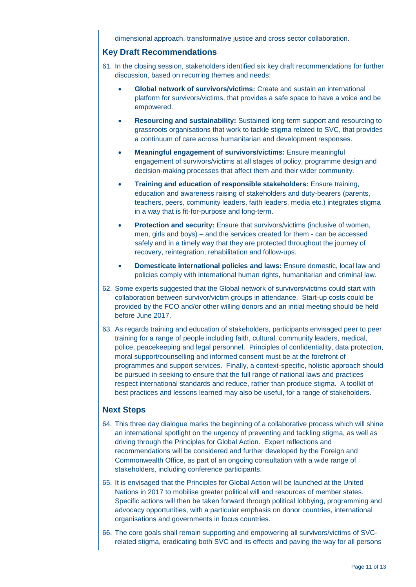dimensional approach, transformative justice and cross sector collaboration.

#### **Key Draft Recommendations**

- 61. In the closing session, stakeholders identified six key draft recommendations for further discussion, based on recurring themes and needs:
	- **Global network of survivors/victims:** Create and sustain an international platform for survivors/victims, that provides a safe space to have a voice and be empowered.
	- **Resourcing and sustainability:** Sustained long-term support and resourcing to grassroots organisations that work to tackle stigma related to SVC, that provides a continuum of care across humanitarian and development responses.
	- **Meaningful engagement of survivors/victims:** Ensure meaningful engagement of survivors/victims at all stages of policy, programme design and decision-making processes that affect them and their wider community.
	- **Training and education of responsible stakeholders:** Ensure training, education and awareness raising of stakeholders and duty-bearers (parents, teachers, peers, community leaders, faith leaders, media etc.) integrates stigma in a way that is fit-for-purpose and long-term.
	- **Protection and security:** Ensure that survivors/victims (inclusive of women, men, girls and boys) – and the services created for them - can be accessed safely and in a timely way that they are protected throughout the journey of recovery, reintegration, rehabilitation and follow-ups.
	- **Domesticate international policies and laws:** Ensure domestic, local law and policies comply with international human rights, humanitarian and criminal law.
- 62. Some experts suggested that the Global network of survivors/victims could start with collaboration between survivor/victim groups in attendance. Start-up costs could be provided by the FCO and/or other willing donors and an initial meeting should be held before June 2017.
- 63. As regards training and education of stakeholders, participants envisaged peer to peer training for a range of people including faith, cultural, community leaders, medical, police, peacekeeping and legal personnel. Principles of confidentiality, data protection, moral support/counselling and informed consent must be at the forefront of programmes and support services. Finally, a context-specific, holistic approach should be pursued in seeking to ensure that the full range of national laws and practices respect international standards and reduce, rather than produce stigma. A toolkit of best practices and lessons learned may also be useful, for a range of stakeholders.

#### **Next Steps**

- 64. This three day dialogue marks the beginning of a collaborative process which will shine an international spotlight on the urgency of preventing and tackling stigma, as well as driving through the Principles for Global Action. Expert reflections and recommendations will be considered and further developed by the Foreign and Commonwealth Office, as part of an ongoing consultation with a wide range of stakeholders, including conference participants.
- 65. It is envisaged that the Principles for Global Action will be launched at the United Nations in 2017 to mobilise greater political will and resources of member states. Specific actions will then be taken forward through political lobbying, programming and advocacy opportunities, with a particular emphasis on donor countries, international organisations and governments in focus countries.
- 66. The core goals shall remain supporting and empowering all survivors/victims of SVCrelated stigma, eradicating both SVC and its effects and paving the way for all persons